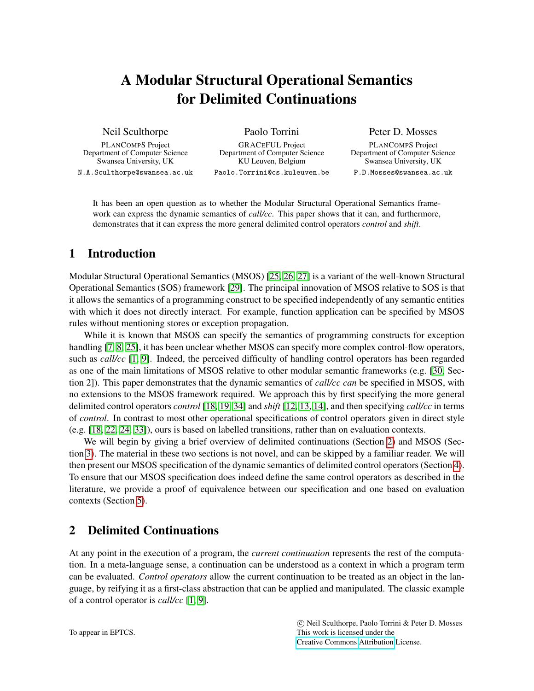# A Modular Structural Operational Semantics for Delimited Continuations

Neil Sculthorpe PLANCOMPS Project Department of Computer Science Swansea University, UK N.A.Sculthorpe@swansea.ac.uk

Paolo Torrini GRACEFUL Project Department of Computer Science KU Leuven, Belgium Paolo.Torrini@cs.kuleuven.be Peter D. Mosses

PLANCOMPS Project Department of Computer Science Swansea University, UK P.D.Mosses@swansea.ac.uk

It has been an open question as to whether the Modular Structural Operational Semantics framework can express the dynamic semantics of *call/cc*. This paper shows that it can, and furthermore, demonstrates that it can express the more general delimited control operators *control* and *shift*.

# 1 Introduction

Modular Structural Operational Semantics (MSOS) [\[25,](#page-17-0) [26,](#page-17-1) [27\]](#page-17-2) is a variant of the well-known Structural Operational Semantics (SOS) framework [\[29\]](#page-17-3). The principal innovation of MSOS relative to SOS is that it allows the semantics of a programming construct to be specified independently of any semantic entities with which it does not directly interact. For example, function application can be specified by MSOS rules without mentioning stores or exception propagation.

While it is known that MSOS can specify the semantics of programming constructs for exception handling [\[7,](#page-16-0) [8,](#page-16-1) [25\]](#page-17-0), it has been unclear whether MSOS can specify more complex control-flow operators, such as *call/cc* [\[1,](#page-16-2) [9\]](#page-16-3). Indeed, the perceived difficulty of handling control operators has been regarded as one of the main limitations of MSOS relative to other modular semantic frameworks (e.g. [\[30,](#page-17-4) Section 2]). This paper demonstrates that the dynamic semantics of *call/cc can* be specified in MSOS, with no extensions to the MSOS framework required. We approach this by first specifying the more general delimited control operators *control* [\[18,](#page-16-4) [19,](#page-17-5) [34\]](#page-17-6) and *shift* [\[12,](#page-16-5) [13,](#page-16-6) [14\]](#page-16-7), and then specifying *call/cc* in terms of *control*. In contrast to most other operational specifications of control operators given in direct style (e.g. [\[18,](#page-16-4) [22,](#page-17-7) [24,](#page-17-8) [33\]](#page-17-9)), ours is based on labelled transitions, rather than on evaluation contexts.

We will begin by giving a brief overview of delimited continuations (Section [2\)](#page-0-0) and MSOS (Section [3\)](#page-1-0). The material in these two sections is not novel, and can be skipped by a familiar reader. We will then present our MSOS specification of the dynamic semantics of delimited control operators (Section [4\)](#page-4-0). To ensure that our MSOS specification does indeed define the same control operators as described in the literature, we provide a proof of equivalence between our specification and one based on evaluation contexts (Section [5\)](#page-8-0).

# <span id="page-0-0"></span>2 Delimited Continuations

At any point in the execution of a program, the *current continuation* represents the rest of the computation. In a meta-language sense, a continuation can be understood as a context in which a program term can be evaluated. *Control operators* allow the current continuation to be treated as an object in the language, by reifying it as a first-class abstraction that can be applied and manipulated. The classic example of a control operator is *call/cc* [\[1,](#page-16-2) [9\]](#page-16-3).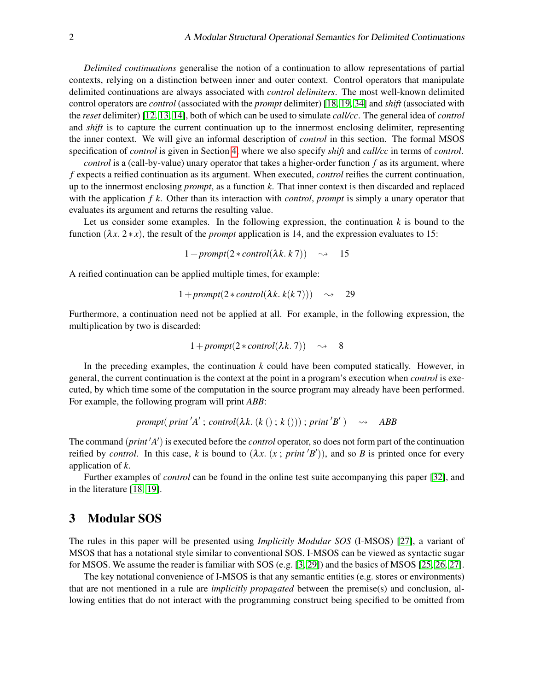*Delimited continuations* generalise the notion of a continuation to allow representations of partial contexts, relying on a distinction between inner and outer context. Control operators that manipulate delimited continuations are always associated with *control delimiters*. The most well-known delimited control operators are *control* (associated with the *prompt* delimiter) [\[18,](#page-16-4) [19,](#page-17-5) [34\]](#page-17-6) and *shift* (associated with the *reset* delimiter) [\[12,](#page-16-5) [13,](#page-16-6) [14\]](#page-16-7), both of which can be used to simulate *call/cc*. The general idea of *control* and *shift* is to capture the current continuation up to the innermost enclosing delimiter, representing the inner context. We will give an informal description of *control* in this section. The formal MSOS specification of *control* is given in Section [4,](#page-4-0) where we also specify *shift* and *call/cc* in terms of *control*.

*control* is a (call-by-value) unary operator that takes a higher-order function *f* as its argument, where *f* expects a reified continuation as its argument. When executed, *control* reifies the current continuation, up to the innermost enclosing *prompt*, as a function *k*. That inner context is then discarded and replaced with the application *f k*. Other than its interaction with *control*, *prompt* is simply a unary operator that evaluates its argument and returns the resulting value.

Let us consider some examples. In the following expression, the continuation  $k$  is bound to the function  $(\lambda x. 2 * x)$ , the result of the *prompt* application is 14, and the expression evaluates to 15:

$$
1 + prompt(2 * control(\lambda k. k7)) \rightarrow 15
$$

A reified continuation can be applied multiple times, for example:

$$
1 + prompt(2 * control(\lambda k. k(k7))) \sim 29
$$

Furthermore, a continuation need not be applied at all. For example, in the following expression, the multiplication by two is discarded:

$$
1 + prompt(2 * control(\lambda k. 7)) \rightarrow 8
$$

In the preceding examples, the continuation *k* could have been computed statically. However, in general, the current continuation is the context at the point in a program's execution when *control* is executed, by which time some of the computation in the source program may already have been performed. For example, the following program will print *ABB*:

$$
prompt(\ print'A'; control(\lambda k. (k(), k()); print'B') \rightarrow ABB
$$

The command (*print'A'*) is executed before the *control* operator, so does not form part of the continuation reified by *control*. In this case, *k* is bound to  $(\lambda x. (x : print'B'))$ , and so *B* is printed once for every application of *k*.

Further examples of *control* can be found in the online test suite accompanying this paper [\[32\]](#page-17-10), and in the literature [\[18,](#page-16-4) [19\]](#page-17-5).

### <span id="page-1-0"></span>3 Modular SOS

The rules in this paper will be presented using *Implicitly Modular SOS* (I-MSOS) [\[27\]](#page-17-2), a variant of MSOS that has a notational style similar to conventional SOS. I-MSOS can be viewed as syntactic sugar for MSOS. We assume the reader is familiar with SOS (e.g. [\[3,](#page-16-8) [29\]](#page-17-3)) and the basics of MSOS [\[25,](#page-17-0) [26,](#page-17-1) [27\]](#page-17-2).

The key notational convenience of I-MSOS is that any semantic entities (e.g. stores or environments) that are not mentioned in a rule are *implicitly propagated* between the premise(s) and conclusion, allowing entities that do not interact with the programming construct being specified to be omitted from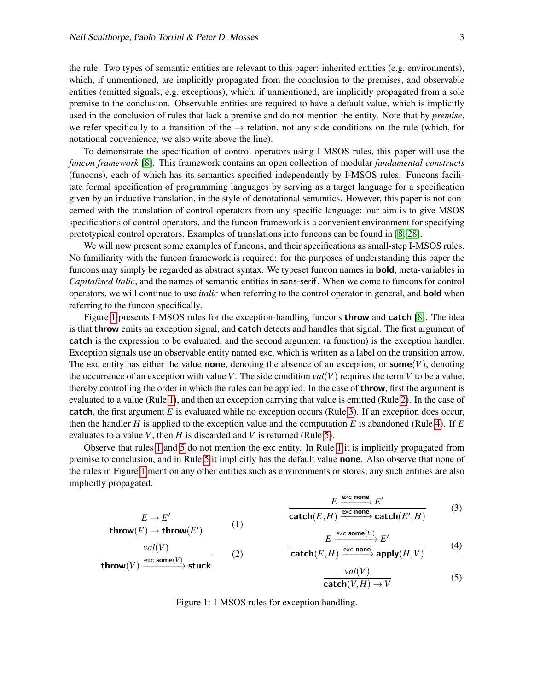the rule. Two types of semantic entities are relevant to this paper: inherited entities (e.g. environments), which, if unmentioned, are implicitly propagated from the conclusion to the premises, and observable entities (emitted signals, e.g. exceptions), which, if unmentioned, are implicitly propagated from a sole premise to the conclusion. Observable entities are required to have a default value, which is implicitly used in the conclusion of rules that lack a premise and do not mention the entity. Note that by *premise*, we refer specifically to a transition of the  $\rightarrow$  relation, not any side conditions on the rule (which, for notational convenience, we also write above the line).

To demonstrate the specification of control operators using I-MSOS rules, this paper will use the *funcon framework* [\[8\]](#page-16-1). This framework contains an open collection of modular *fundamental constructs* (funcons), each of which has its semantics specified independently by I-MSOS rules. Funcons facilitate formal specification of programming languages by serving as a target language for a specification given by an inductive translation, in the style of denotational semantics. However, this paper is not concerned with the translation of control operators from any specific language: our aim is to give MSOS specifications of control operators, and the funcon framework is a convenient environment for specifying prototypical control operators. Examples of translations into funcons can be found in [\[8,](#page-16-1) [28\]](#page-17-11).

We will now present some examples of funcons, and their specifications as small-step I-MSOS rules. No familiarity with the funcon framework is required: for the purposes of understanding this paper the funcons may simply be regarded as abstract syntax. We typeset funcon names in **bold**, meta-variables in *Capitalised Italic*, and the names of semantic entities in sans-serif. When we come to funcons for control operators, we will continue to use *italic* when referring to the control operator in general, and bold when referring to the funcon specifically.

Figure [1](#page-2-0) presents I-MSOS rules for the exception-handling funcons **throw** and **catch** [\[8\]](#page-16-1). The idea is that **throw** emits an exception signal, and **catch** detects and handles that signal. The first argument of catch is the expression to be evaluated, and the second argument (a function) is the exception handler. Exception signals use an observable entity named exc, which is written as a label on the transition arrow. The exc entity has either the value **none**, denoting the absence of an exception, or **some** $(V)$ , denoting the occurrence of an exception with value *V*. The side condition  $val(V)$  requires the term *V* to be a value, thereby controlling the order in which the rules can be applied. In the case of **throw**, first the argument is evaluated to a value (Rule [1\)](#page-2-1), and then an exception carrying that value is emitted (Rule [2\)](#page-2-2). In the case of catch, the first argument *E* is evaluated while no exception occurs (Rule [3\)](#page-2-3). If an exception does occur, then the handler *H* is applied to the exception value and the computation *E* is abandoned (Rule [4\)](#page-2-4). If  $E$ evaluates to a value *V*, then *H* is discarded and *V* is returned (Rule [5\)](#page-2-5).

Observe that rules [1](#page-2-1) and [5](#page-2-5) do not mention the exc entity. In Rule [1](#page-2-1) it is implicitly propagated from premise to conclusion, and in Rule [5](#page-2-5) it implicitly has the default value none. Also observe that none of the rules in Figure [1](#page-2-0) mention any other entities such as environments or stores; any such entities are also implicitly propagated.

$$
\frac{E \xrightarrow{\text{exc none}} E'}{\text{trrow}(E) \to \text{trrow}(E')} \qquad (1) \qquad \qquad \frac{E \xrightarrow{\text{exc none}} E'}{\text{catch}(E, H) \xrightarrow{\text{exc none}} \text{catch}(E', H)} \qquad (3)
$$

<span id="page-2-5"></span><span id="page-2-4"></span><span id="page-2-3"></span>exc none −−−−−→ *E*

$$
\frac{val(V)}{\text{throw}(V) \xrightarrow{\text{exc some}(V)} \text{stuck}} \qquad (2) \qquad \qquad \frac{E \xrightarrow{\text{exc some}(V)} E'}{\text{catch}(E, H) \xrightarrow{\text{exc none}} \text{apply}(H, V)} \qquad (4)
$$
\n
$$
\frac{val(V)}{\text{catch}(V, H) \to V} \qquad (5)
$$

<span id="page-2-2"></span><span id="page-2-1"></span><span id="page-2-0"></span>Figure 1: I-MSOS rules for exception handling.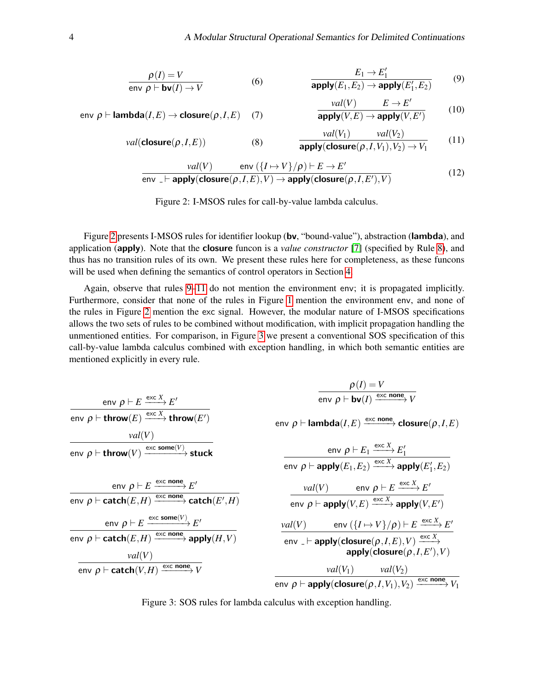$$
\frac{\rho(I) = V}{\text{env } \rho \vdash \mathbf{bv}(I) \to V} \tag{9}
$$
\n
$$
\frac{E_1 \to E'_1}{\text{apply}(E_1, E_2) \to \mathbf{apply}(E'_1, E_2)} \tag{9}
$$

$$
\mathsf{env}\ \rho \vdash \mathsf{lambda}(I,E) \to \mathsf{closure}(\rho,I,E) \quad (7)
$$

<span id="page-3-7"></span><span id="page-3-6"></span><span id="page-3-5"></span><span id="page-3-3"></span><span id="page-3-2"></span><span id="page-3-1"></span>
$$
\frac{val(V)}{\text{apply}(V,E) \to \text{apply}(V,E')} \tag{10}
$$

$$
val(\text{closure}(\rho, I, E)) \qquad (8) \qquad \frac{val(V_1) \qquad val(V_2)}{\text{apply}(\text{closure}(\rho, I, V_1), V_2) \to V_1} \qquad (11)
$$

$$
\frac{val(V)}{\text{env } \_\vdash \text{apply}(\text{closure}(\rho, I, E), V) \to \text{apply}(\text{closure}(\rho, I, E'), V)}\tag{12}
$$

<span id="page-3-0"></span>Figure 2: I-MSOS rules for call-by-value lambda calculus.

Figure [2](#page-3-0) presents I-MSOS rules for identifier lookup (bv, "bound-value"), abstraction (lambda), and application (apply). Note that the closure funcon is a *value constructor* [\[7\]](#page-16-0) (specified by Rule [8\)](#page-3-1), and thus has no transition rules of its own. We present these rules here for completeness, as these funcons will be used when defining the semantics of control operators in Section [4.](#page-4-0)

Again, observe that rules [9–](#page-3-2)[11](#page-3-3) do not mention the environment env; it is propagated implicitly. Furthermore, consider that none of the rules in Figure [1](#page-2-0) mention the environment env, and none of the rules in Figure [2](#page-3-0) mention the exc signal. However, the modular nature of I-MSOS specifications allows the two sets of rules to be combined without modification, with implicit propagation handling the unmentioned entities. For comparison, in Figure [3](#page-3-4) we present a conventional SOS specification of this call-by-value lambda calculus combined with exception handling, in which both semantic entities are mentioned explicitly in every rule.

$$
\cfrac{\mathsf{env}\ \rho \vdash E \xrightarrow{\mathsf{exc}\ X} E'}{\mathsf{env}\ \rho \vdash \mathsf{throw}(E) \xrightarrow{\mathsf{exc}\ X} \mathsf{throw}(E')}
$$
\n
$$
\cfrac{\mathit{val}(V)}{\mathsf{env}\ \rho \vdash \mathsf{throw}(V) \xrightarrow{\mathsf{exc}\ \mathsf{some}(V)} \mathsf{stuck}}
$$

$$
\cfrac{\mathsf{env}\ \rho \vdash E\xrightarrow{\mathsf{exc}\ \mathsf{none}} E'}{\mathsf{env}\ \rho \vdash \mathsf{catch}(E, H)\xrightarrow{\mathsf{exc}\ \mathsf{none}} \mathsf{catch}(E', H)}
$$
\n
$$
\cfrac{\mathsf{env}\ \rho \vdash E\xrightarrow{\mathsf{exc}\ \mathsf{some}(V)} E'}{\mathsf{env}\ \rho \vdash \mathsf{catch}(E, H)\xrightarrow{\mathsf{exc}\ \mathsf{none}} \mathsf{apply}(H, V)}
$$
\n
$$
\cfrac{\mathit{val}(V)}{\mathsf{env}\ \rho \vdash \mathsf{catch}(V, H)\xrightarrow{\mathsf{exc}\ \mathsf{none}} V}
$$

$$
\frac{\rho(I) = V}{\text{env }\rho \vdash \text{bv}(I) \xrightarrow{\text{exc none}} V}
$$

 $\tan \rho \vdash$  lambda $(I, E) \xrightarrow{\text{exc none}}$ closure $(\rho, I, E)$ 

$$
\frac{\text{env }\rho \vdash E_1 \xrightarrow{\text{exc } X} E'_1}{\text{env }\rho \vdash \text{apply}(E_1, E_2) \xrightarrow{\text{exc } X} \text{apply}(E'_1, E_2)}
$$
\n
$$
\frac{val(V) \qquad \text{env }\rho \vdash E \xrightarrow{\text{exc } X} E'}{\text{env }\rho \vdash \text{apply}(V, E) \xrightarrow{\text{exc } X} \text{apply}(V, E')}
$$
\n
$$
\frac{val(V) \qquad \text{env } (\{I \mapsto V\}/\rho) \vdash E \xrightarrow{\text{exc } X} E'}{\text{env } \lnot \vdash \text{apply}(\text{closure}(\rho, I, E), V) \xrightarrow{\text{exc } X} \text{apply}(\text{closure}(\rho, I, E'), V)}
$$
\n
$$
\frac{val(V_1) \qquad val(V_2)}{\text{env }\rho \vdash \text{apply}(\text{closure}(\rho, I, V_1), V_2) \xrightarrow{\text{exc none}} V_1}
$$

<span id="page-3-4"></span>Figure 3: SOS rules for lambda calculus with exception handling.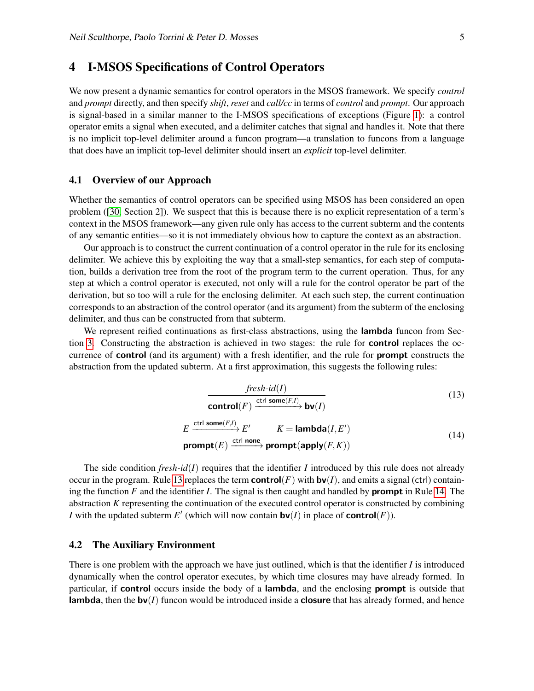# <span id="page-4-0"></span>4 I-MSOS Specifications of Control Operators

We now present a dynamic semantics for control operators in the MSOS framework. We specify *control* and *prompt* directly, and then specify *shift*, *reset* and *call/cc* in terms of *control* and *prompt*. Our approach is signal-based in a similar manner to the I-MSOS specifications of exceptions (Figure [1\)](#page-2-0): a control operator emits a signal when executed, and a delimiter catches that signal and handles it. Note that there is no implicit top-level delimiter around a funcon program—a translation to funcons from a language that does have an implicit top-level delimiter should insert an *explicit* top-level delimiter.

#### 4.1 Overview of our Approach

Whether the semantics of control operators can be specified using MSOS has been considered an open problem ([\[30,](#page-17-4) Section 2]). We suspect that this is because there is no explicit representation of a term's context in the MSOS framework—any given rule only has access to the current subterm and the contents of any semantic entities—so it is not immediately obvious how to capture the context as an abstraction.

Our approach is to construct the current continuation of a control operator in the rule for its enclosing delimiter. We achieve this by exploiting the way that a small-step semantics, for each step of computation, builds a derivation tree from the root of the program term to the current operation. Thus, for any step at which a control operator is executed, not only will a rule for the control operator be part of the derivation, but so too will a rule for the enclosing delimiter. At each such step, the current continuation corresponds to an abstraction of the control operator (and its argument) from the subterm of the enclosing delimiter, and thus can be constructed from that subterm.

We represent reified continuations as first-class abstractions, using the **lambda** funcon from Sec-tion [3.](#page-1-0) Constructing the abstraction is achieved in two stages: the rule for **control** replaces the occurrence of **control** (and its argument) with a fresh identifier, and the rule for **prompt** constructs the abstraction from the updated subterm. At a first approximation, this suggests the following rules:

<span id="page-4-2"></span><span id="page-4-1"></span>
$$
\frac{fresh \cdot id(I)}{\text{control}(F) \xrightarrow{\text{ctrl some}(F,I)} \text{bv}(I)}
$$
(13)  

$$
\xrightarrow{E \xrightarrow{\text{ctrl some}(F,I)} E'} K = \text{lambda}(I, E')
$$
  
prompt(E)  $\xrightarrow{\text{ctrl none}} \text{prompt}(\text{apply}(F, K))$ 

The side condition  ${\text{fresh-id}(I)}$  requires that the identifier *I* introduced by this rule does not already occur in the program. Rule [13](#page-4-1) replaces the term **control** $(F)$  with  $bv(I)$ , and emits a signal (ctrl) containing the function *F* and the identifier *I*. The signal is then caught and handled by prompt in Rule [14.](#page-4-2) The abstraction *K* representing the continuation of the executed control operator is constructed by combining *I* with the updated subterm  $E'$  (which will now contain  $bv(I)$  in place of **control** $(F)$ ).

#### 4.2 The Auxiliary Environment

There is one problem with the approach we have just outlined, which is that the identifier *I* is introduced dynamically when the control operator executes, by which time closures may have already formed. In particular, if control occurs inside the body of a lambda, and the enclosing prompt is outside that **lambda**, then the  $\mathbf{b}v(I)$  funcon would be introduced inside a **closure** that has already formed, and hence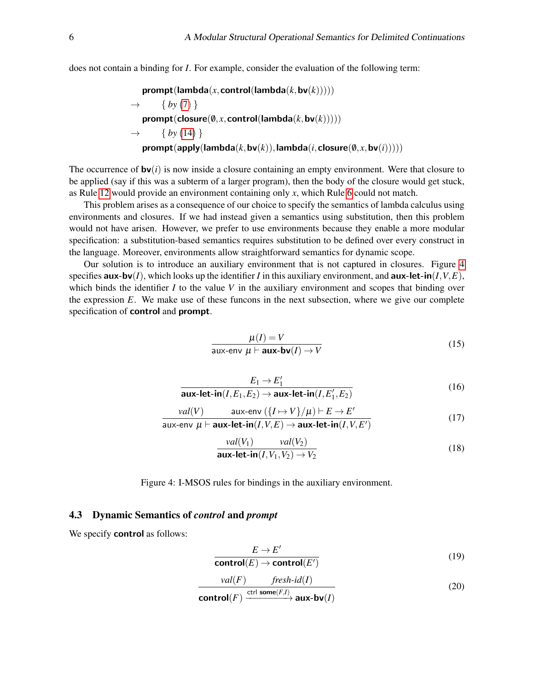does not contain a binding for *I*. For example, consider the evaluation of the following term:

$$
\begin{array}{ll}\n & \textbf{prompt}(\textbf{lambda}(x, \textbf{control}(\textbf{lambda}(k, \textbf{bv}(k)))))) \\
\rightarrow & \{ by \, (7) \, \} \\
 & \textbf{prompt}(\textbf{closure}(0, x, \textbf{control}(\textbf{lambda}(k, \textbf{bv}(k)))))) \\
\rightarrow & \{ by \, (14) \, \} \\
 & \textbf{prompt}(\textbf{apply}(\textbf{lambda}(k, \textbf{bv}(k)), \textbf{lambda}(i, \textbf{closure}(0, x, \textbf{bv}(i))))))\n\end{array}
$$

The occurrence of  $bv(i)$  is now inside a closure containing an empty environment. Were that closure to be applied (say if this was a subterm of a larger program), then the body of the closure would get stuck, as Rule [12](#page-3-6) would provide an environment containing only *x*, which Rule [6](#page-3-7) could not match.

This problem arises as a consequence of our choice to specify the semantics of lambda calculus using environments and closures. If we had instead given a semantics using substitution, then this problem would not have arisen. However, we prefer to use environments because they enable a more modular specification: a substitution-based semantics requires substitution to be defined over every construct in the language. Moreover, environments allow straightforward semantics for dynamic scope.

Our solution is to introduce an auxiliary environment that is not captured in closures. Figure [4](#page-5-0) specifies **aux-bv**(*I*), which looks up the identifier *I* in this auxiliary environment, and **aux-let-in**( $I, V, E$ ), which binds the identifier *I* to the value *V* in the auxiliary environment and scopes that binding over the expression *E*. We make use of these funcons in the next subsection, where we give our complete specification of control and prompt.

$$
\frac{\mu(I) = V}{\text{aux-env }\mu \vdash \text{aux-bv}(I) \to V} \tag{15}
$$

$$
\frac{E_1 \rightarrow E'_1}{\text{aux-let-in}(I, E_1, E_2) \rightarrow \text{aux-let-in}(I, E'_1, E_2)}
$$
(16)

$$
\frac{val(V)}{\text{aux-env } \mu \vdash \text{aux-env } (\{I \mapsto V\}/\mu) \vdash E \to E'}\n\text{aux-env } \mu \vdash \text{aux-let-in}(I, V, E) \to \text{aux-let-in}(I, V, E')}\n\tag{17}
$$

$$
\frac{val(V_1)}{\mathbf{aux}\text{-let-in}(I, V_1, V_2) \to V_2}
$$
\n(18)

<span id="page-5-0"></span>Figure 4: I-MSOS rules for bindings in the auxiliary environment.

#### 4.3 Dynamic Semantics of *control* and *prompt*

We specify **control** as follows:

<span id="page-5-2"></span><span id="page-5-1"></span>
$$
\frac{E \to E'}{\text{control}(E) \to \text{control}(E')}
$$
 (19)

$$
\frac{val(F)}{\text{control}(F)} \xrightarrow{\text{ctrl} \text{ some}(F, I)} \text{aux-bv}(I)
$$
(20)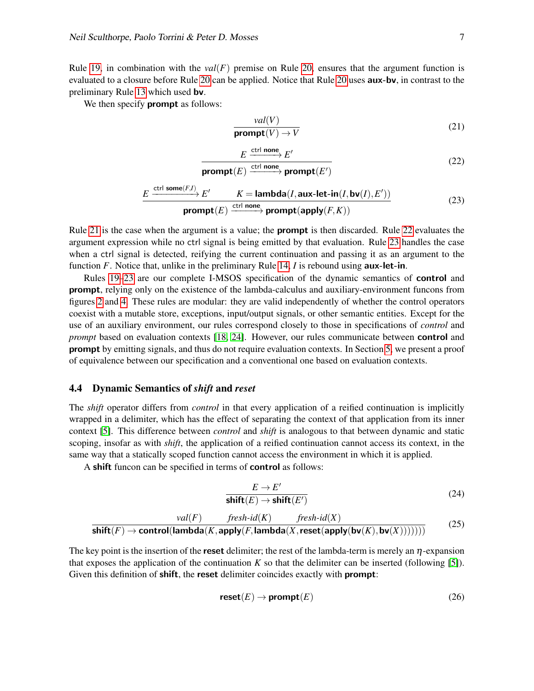Rule [19,](#page-5-1) in combination with the  $val(F)$  premise on Rule [20,](#page-5-2) ensures that the argument function is evaluated to a closure before Rule [20](#page-5-2) can be applied. Notice that Rule 20 uses **aux-by**, in contrast to the preliminary Rule [13](#page-4-1) which used bv.

We then specify **prompt** as follows:

<span id="page-6-2"></span><span id="page-6-1"></span><span id="page-6-0"></span>
$$
\frac{val(V)}{\text{prompt}(V) \to V} \tag{21}
$$

$$
E \xrightarrow{\text{ctrl none}} E'
$$
  
prompt(E)  $\xrightarrow{\text{ctrl none}}$  prompt(E') (22)

$$
\frac{E \xrightarrow{\text{ctrl some}(F,l)} E'}{ \text{prompt}(E) \xrightarrow{\text{ctrl none}} \text{prompt}(\text{apply}(F,K))}
$$
(23)

Rule [21](#page-6-0) is the case when the argument is a value; the prompt is then discarded. Rule [22](#page-6-1) evaluates the argument expression while no ctrl signal is being emitted by that evaluation. Rule [23](#page-6-2) handles the case when a ctrl signal is detected, reifying the current continuation and passing it as an argument to the function *F*. Notice that, unlike in the preliminary Rule [14,](#page-4-2) *I* is rebound using **aux-let-in**.

Rules [19–](#page-5-1)[23](#page-6-2) are our complete I-MSOS specification of the dynamic semantics of control and prompt, relying only on the existence of the lambda-calculus and auxiliary-environment funcons from figures [2](#page-3-0) and [4.](#page-5-0) These rules are modular: they are valid independently of whether the control operators coexist with a mutable store, exceptions, input/output signals, or other semantic entities. Except for the use of an auxiliary environment, our rules correspond closely to those in specifications of *control* and *prompt* based on evaluation contexts [\[18,](#page-16-4) [24\]](#page-17-8). However, our rules communicate between **control** and prompt by emitting signals, and thus do not require evaluation contexts. In Section [5,](#page-8-0) we present a proof of equivalence between our specification and a conventional one based on evaluation contexts.

#### <span id="page-6-3"></span>4.4 Dynamic Semantics of *shift* and *reset*

The *shift* operator differs from *control* in that every application of a reified continuation is implicitly wrapped in a delimiter, which has the effect of separating the context of that application from its inner context [\[5\]](#page-16-9). This difference between *control* and *shift* is analogous to that between dynamic and static scoping, insofar as with *shift*, the application of a reified continuation cannot access its context, in the same way that a statically scoped function cannot access the environment in which it is applied.

A shift funcon can be specified in terms of control as follows:

$$
\frac{E \to E'}{\mathsf{shift}(E) \to \mathsf{shift}(E')} \tag{24}
$$

$$
\frac{val(F) \qquad fresh-id(K) \qquad fresh-id(X)}{\textsf{shift}(F) \to \textsf{control}(\textsf{lambda}(K, \textsf{apply}(F, \textsf{lambda}(X, \textsf{reset}(\textsf{apply}(\textsf{bv}(K), \textsf{bv}(X)))))))} \tag{25}
$$

The key point is the insertion of the **reset** delimiter; the rest of the lambda-term is merely an  $\eta$ -expansion that exposes the application of the continuation  $K$  so that the delimiter can be inserted (following [\[5\]](#page-16-9)). Given this definition of shift, the reset delimiter coincides exactly with prompt:

$$
\mathsf{reset}(E) \to \mathsf{prompt}(E) \tag{26}
$$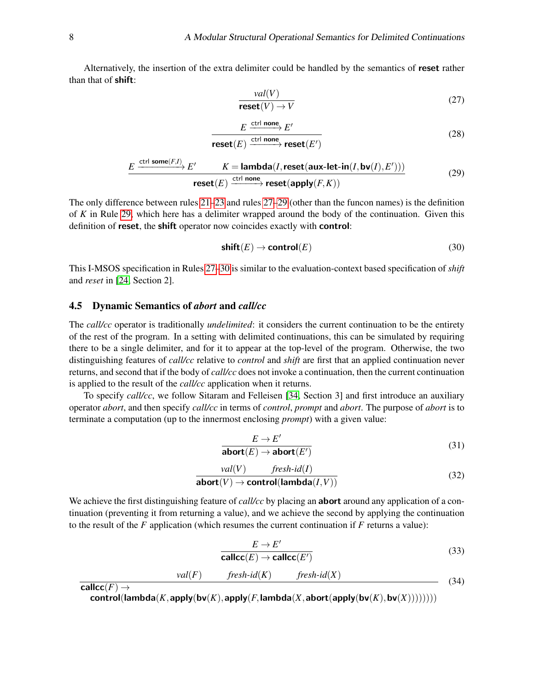Alternatively, the insertion of the extra delimiter could be handled by the semantics of reset rather than that of shift:

<span id="page-7-1"></span><span id="page-7-0"></span>
$$
\frac{val(V)}{\text{reset}(V) \to V} \tag{27}
$$

$$
\xrightarrow{E \xrightarrow{\text{ctrl none}} E'} E'
$$
\n
$$
\xrightarrow{\text{cstrl none}} \text{reset}(E')
$$
\n(28)

$$
E \xrightarrow{\text{ctrl some}(F,l)} E' \qquad K = \text{lambda}(I, \text{reset}(aux-\text{let-in}(I, \text{bv}(I), E')))
$$
  
reset(E)  $\xrightarrow{\text{ctrl none}} \text{reset}(\text{apply}(F, K))$  (29)

The only difference between rules [21–](#page-6-0)[23](#page-6-2) and rules [27–](#page-7-0)[29](#page-7-1) (other than the funcon names) is the definition of *K* in Rule [29,](#page-7-1) which here has a delimiter wrapped around the body of the continuation. Given this definition of reset, the shift operator now coincides exactly with control:

<span id="page-7-2"></span>
$$
\mathsf{shift}(E) \to \mathsf{control}(E) \tag{30}
$$

This I-MSOS specification in Rules [27](#page-7-0)[–30](#page-7-2) is similar to the evaluation-context based specification of *shift* and *reset* in [\[24,](#page-17-8) Section 2].

#### 4.5 Dynamic Semantics of *abort* and *call/cc*

The *call/cc* operator is traditionally *undelimited*: it considers the current continuation to be the entirety of the rest of the program. In a setting with delimited continuations, this can be simulated by requiring there to be a single delimiter, and for it to appear at the top-level of the program. Otherwise, the two distinguishing features of *call/cc* relative to *control* and *shift* are first that an applied continuation never returns, and second that if the body of *call/cc* does not invoke a continuation, then the current continuation is applied to the result of the *call/cc* application when it returns.

To specify *call/cc*, we follow Sitaram and Felleisen [\[34,](#page-17-6) Section 3] and first introduce an auxiliary operator *abort*, and then specify *call/cc* in terms of *control*, *prompt* and *abort*. The purpose of *abort* is to terminate a computation (up to the innermost enclosing *prompt*) with a given value:

$$
\frac{E \to E'}{\mathbf{abort}(E) \to \mathbf{abort}(E')} \tag{31}
$$

$$
\frac{val(V) \qquad fresh-id(I)}{\textbf{abort}(V) \to \textbf{control}(\textbf{lambda}(I,V))}
$$
(32)

We achieve the first distinguishing feature of *call/cc* by placing an abort around any application of a continuation (preventing it from returning a value), and we achieve the second by applying the continuation to the result of the  $F$  application (which resumes the current continuation if  $F$  returns a value):

$$
\frac{E \to E'}{\operatorname{callec}(E) \to \operatorname{callec}(E')}
$$
(33)

$$
val(F) \t $fresh-id(K)$  \t $fresh-id(X)$  (34)
$$

callcc $(F) \rightarrow$ 

 $\text{control}(\text{lambda}(K,\text{apply}(\text{bv}(K),\text{apply}(F,\text{lambda}(X),\text{abort}(\text{apply}(\text{bv}(K),\text{bv}(X)))))))$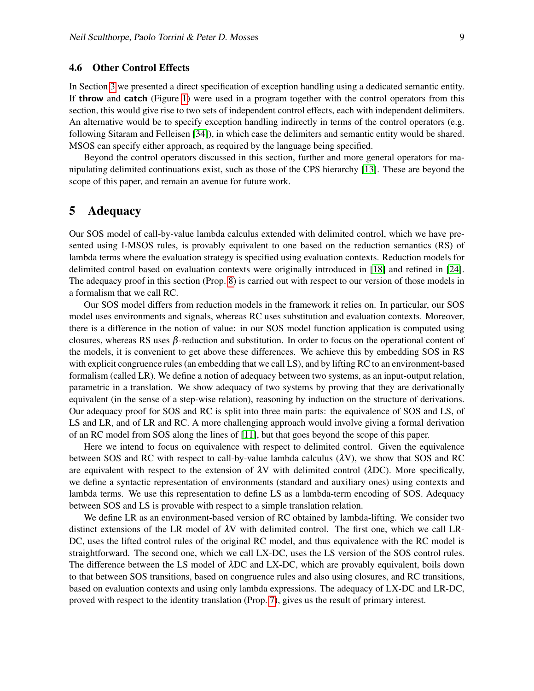#### 4.6 Other Control Effects

In Section [3](#page-1-0) we presented a direct specification of exception handling using a dedicated semantic entity. If throw and catch (Figure [1\)](#page-2-0) were used in a program together with the control operators from this section, this would give rise to two sets of independent control effects, each with independent delimiters. An alternative would be to specify exception handling indirectly in terms of the control operators (e.g. following Sitaram and Felleisen [\[34\]](#page-17-6)), in which case the delimiters and semantic entity would be shared. MSOS can specify either approach, as required by the language being specified.

Beyond the control operators discussed in this section, further and more general operators for manipulating delimited continuations exist, such as those of the CPS hierarchy [\[13\]](#page-16-6). These are beyond the scope of this paper, and remain an avenue for future work.

# <span id="page-8-0"></span>5 Adequacy

Our SOS model of call-by-value lambda calculus extended with delimited control, which we have presented using I-MSOS rules, is provably equivalent to one based on the reduction semantics (RS) of lambda terms where the evaluation strategy is specified using evaluation contexts. Reduction models for delimited control based on evaluation contexts were originally introduced in [\[18\]](#page-16-4) and refined in [\[24\]](#page-17-8). The adequacy proof in this section (Prop. [8\)](#page-14-0) is carried out with respect to our version of those models in a formalism that we call RC.

Our SOS model differs from reduction models in the framework it relies on. In particular, our SOS model uses environments and signals, whereas RC uses substitution and evaluation contexts. Moreover, there is a difference in the notion of value: in our SOS model function application is computed using closures, whereas RS uses  $\beta$ -reduction and substitution. In order to focus on the operational content of the models, it is convenient to get above these differences. We achieve this by embedding SOS in RS with explicit congruence rules (an embedding that we call LS), and by lifting RC to an environment-based formalism (called LR). We define a notion of adequacy between two systems, as an input-output relation, parametric in a translation. We show adequacy of two systems by proving that they are derivationally equivalent (in the sense of a step-wise relation), reasoning by induction on the structure of derivations. Our adequacy proof for SOS and RC is split into three main parts: the equivalence of SOS and LS, of LS and LR, and of LR and RC. A more challenging approach would involve giving a formal derivation of an RC model from SOS along the lines of [\[11\]](#page-16-10), but that goes beyond the scope of this paper.

Here we intend to focus on equivalence with respect to delimited control. Given the equivalence between SOS and RC with respect to call-by-value lambda calculus  $(\lambda V)$ , we show that SOS and RC are equivalent with respect to the extension of  $\lambda V$  with delimited control ( $\lambda DC$ ). More specifically, we define a syntactic representation of environments (standard and auxiliary ones) using contexts and lambda terms. We use this representation to define LS as a lambda-term encoding of SOS. Adequacy between SOS and LS is provable with respect to a simple translation relation.

We define LR as an environment-based version of RC obtained by lambda-lifting. We consider two distinct extensions of the LR model of  $\lambda V$  with delimited control. The first one, which we call LR-DC, uses the lifted control rules of the original RC model, and thus equivalence with the RC model is straightforward. The second one, which we call LX-DC, uses the LS version of the SOS control rules. The difference between the LS model of λDC and LX-DC, which are provably equivalent, boils down to that between SOS transitions, based on congruence rules and also using closures, and RC transitions, based on evaluation contexts and using only lambda expressions. The adequacy of LX-DC and LR-DC, proved with respect to the identity translation (Prop. [7\)](#page-13-0), gives us the result of primary interest.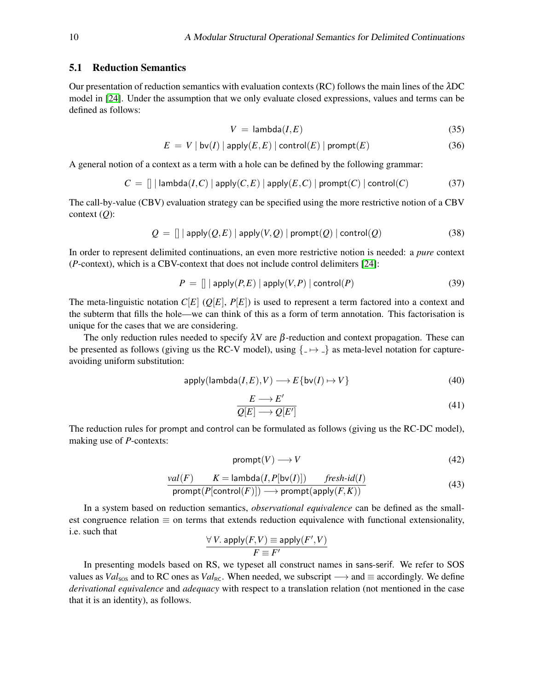#### 5.1 Reduction Semantics

Our presentation of reduction semantics with evaluation contexts (RC) follows the main lines of the λDC model in [\[24\]](#page-17-8). Under the assumption that we only evaluate closed expressions, values and terms can be defined as follows:

$$
V = \text{lambda}(I, E) \tag{35}
$$

 $E = V | b\mathsf{v}(I) | a\rmathsf{p} b\mathsf{v}(E, E) | control(E) | prompt(E)$  (36)

A general notion of a context as a term with a hole can be defined by the following grammar:

$$
C = [] | \mathsf{lambda}(I, C) | \mathsf{apply}(C, E) | \mathsf{apply}(E, C) | \mathsf{prompt}(C) | \mathsf{control}(C) | \qquad (37)
$$

The call-by-value (CBV) evaluation strategy can be specified using the more restrictive notion of a CBV context (*Q*):

$$
Q = [] | apply(Q, E) | apply(V, Q) | prompt(Q) | control(Q)
$$
\n(38)

In order to represent delimited continuations, an even more restrictive notion is needed: a *pure* context (*P*-context), which is a CBV-context that does not include control delimiters [\[24\]](#page-17-8):

$$
P = \left[ \left| \text{ apply}(P, E) \right| \text{ apply}(V, P) \left| \text{ control}(P) \right. \right] \tag{39}
$$

The meta-linguistic notation  $C[E]$  ( $Q[E]$ ,  $P[E]$ ) is used to represent a term factored into a context and the subterm that fills the hole—we can think of this as a form of term annotation. This factorisation is unique for the cases that we are considering.

The only reduction rules needed to specify  $\lambda V$  are  $\beta$ -reduction and context propagation. These can be presented as follows (giving us the RC-V model), using  $\{- \mapsto \_ \}$  as meta-level notation for captureavoiding uniform substitution:

$$
apply(lambda(I, E), V) \longrightarrow E\{bv(I) \mapsto V\}
$$
\n(40)

$$
\frac{E \longrightarrow E'}{Q[E] \longrightarrow Q[E']}
$$
\n(41)

The reduction rules for prompt and control can be formulated as follows (giving us the RC-DC model), making use of *P*-contexts:

<span id="page-9-1"></span><span id="page-9-0"></span>
$$
prompt(V) \longrightarrow V \tag{42}
$$

$$
\frac{val(F)}{\text{prompt}(P[\text{control}(F)])} \qquad \frac{fresh \cdot id(I)}{\text{prompt}(P[\text{control}(F)])} \tag{43}
$$

In a system based on reduction semantics, *observational equivalence* can be defined as the smallest congruence relation  $\equiv$  on terms that extends reduction equivalence with functional extensionality, i.e. such that

$$
\frac{\forall V.\: \mathsf{apply}(F,V) \equiv \mathsf{apply}(F',V)}{F \equiv F'}
$$

In presenting models based on RS, we typeset all construct names in sans-serif. We refer to SOS values as *Val*<sub>sos</sub> and to RC ones as *Val*<sub>RC</sub>. When needed, we subscript  $\rightarrow$  and  $\equiv$  accordingly. We define *derivational equivalence* and *adequacy* with respect to a translation relation (not mentioned in the case that it is an identity), as follows.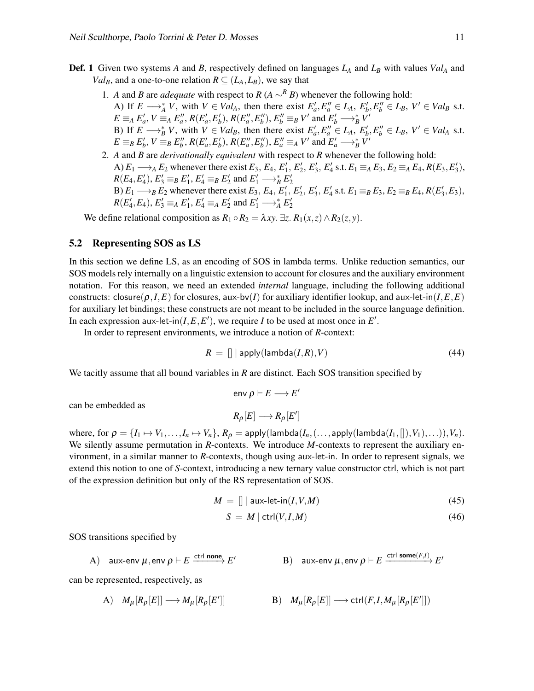- **Def.** 1 Given two systems *A* and *B*, respectively defined on languages  $L_A$  and  $L_B$  with values  $Val_A$  and *Val*<sup>*B*</sup>, and a one-to-one relation  $R \subseteq (L_A, L_B)$ , we say that
	- 1. *A* and *B* are *adequate* with respect to *R* (*A* ∼<sup>*R*</sup> *B*) whenever the following hold: A) If  $E \longrightarrow_A^* V$ , with  $V \in Val_A$ , then there exist  $E'_a, E''_a \in L_A$ ,  $E'_b, E''_b \in L_B$ ,  $V' \in Val_B$  s.t.  $E \equiv_A E'_a, V \equiv_A E''_a, R(E'_a, E'_b), R(E''_a, E''_b), E''_b \equiv_B V'$  and  $E'_b \longrightarrow_B^* V'$ B) If  $E \longrightarrow_B^* V$ , with  $V \in Val_B$ , then there exist  $E'_a, E''_a \in L_A$ ,  $E'_b, E''_b \in L_B$ ,  $V' \in Val_A$  s.t.  $E \equiv_B E'_b$ ,  $V \equiv_B E''_b$ ,  $R(E'_a, E'_b)$ ,  $R(E''_a, E''_b)$ ,  $E''_a \equiv_A V'$  and  $E'_a \longrightarrow_B^* V'$
	- 2. *A* and *B* are *derivationally equivalent* with respect to *R* whenever the following hold: A)  $E_1 \longrightarrow_A E_2$  whenever there exist  $E_3$ ,  $E_4$ ,  $E'_1$ ,  $E'_2$ ,  $E'_3$ ,  $E'_4$  s.t.  $E_1 \equiv_A E_3$ ,  $E_2 \equiv_A E_4$ ,  $R(E_3, E'_3)$ ,  $R(E_4, E'_4), E'_3 \equiv_B E'_1, E'_4 \equiv_B E'_2 \text{ and } E'_1 \longrightarrow_B^* E'_2$ B)  $E_1 \longrightarrow_B E_2$  whenever there exist  $E_3$ ,  $E_4$ ,  $E'_1$ ,  $E'_2$ ,  $E'_3$ ,  $E'_4$  s.t.  $E_1 \equiv_B E_3$ ,  $E_2 \equiv_B E_4$ ,  $R(E'_3, E_3)$ ,  $R(E_4', E_4), E_3' \equiv_A E_1', E_4' \equiv_A E_2' \text{ and } E_1' \longrightarrow_A^* E_2'$

We define relational composition as  $R_1 \circ R_2 = \lambda xy$ .  $\exists z$ .  $R_1(x, z) \land R_2(z, y)$ .

#### 5.2 Representing SOS as LS

In this section we define LS, as an encoding of SOS in lambda terms. Unlike reduction semantics, our SOS models rely internally on a linguistic extension to account for closures and the auxiliary environment notation. For this reason, we need an extended *internal* language, including the following additional constructs: closure( $\rho$ ,*I*,*E*) for closures, aux-bv(*I*) for auxiliary identifier lookup, and aux-let-in(*I*,*E*,*E*) for auxiliary let bindings; these constructs are not meant to be included in the source language definition. In each expression aux-let-in( $I, E, E'$ ), we require *I* to be used at most once in  $E'$ .

In order to represent environments, we introduce a notion of *R*-context:

$$
R = [] | apply(lambda(I, R), V)
$$
\n(44)

We tacitly assume that all bound variables in *R* are distinct. Each SOS transition specified by

$$
\text{env }\rho \vdash E \longrightarrow E'
$$

can be embedded as

 $R_{\rho}[E] \longrightarrow R_{\rho}[E']$ 

where, for  $\rho = \{I_1 \mapsto V_1, \ldots, I_n \mapsto V_n\}$ ,  $R_\rho = \text{apply}(\text{lambda}(I_n, \ldots, \text{apply}(\text{lambda}(I_1, []), V_1), \ldots)), V_n)$ . We silently assume permutation in *R*-contexts. We introduce *M*-contexts to represent the auxiliary environment, in a similar manner to *R*-contexts, though using aux-let-in. In order to represent signals, we extend this notion to one of *S*-context, introducing a new ternary value constructor ctrl, which is not part of the expression definition but only of the RS representation of SOS.

$$
M = [] | aux-let-in(I, V, M)
$$
\n(45)

$$
S = M \mid \operatorname{ctrl}(V, I, M) \tag{46}
$$

 $\prime$ 

SOS transitions specified by

A) aux-env 
$$
\mu
$$
, env  $\rho \vdash E \xrightarrow{\text{ctrl none}} E'$  B) aux-env  $\mu$ , env  $\rho \vdash E \xrightarrow{\text{ctrl some}(F,I)} E$ 

can be represented, respectively, as

A) 
$$
M_{\mu}[R_{\rho}[E]] \longrightarrow M_{\mu}[R_{\rho}[E']]
$$
 B)  $M_{\mu}[R_{\rho}[E]] \longrightarrow \text{ctrl}(F, I, M_{\mu}[R_{\rho}[E']])$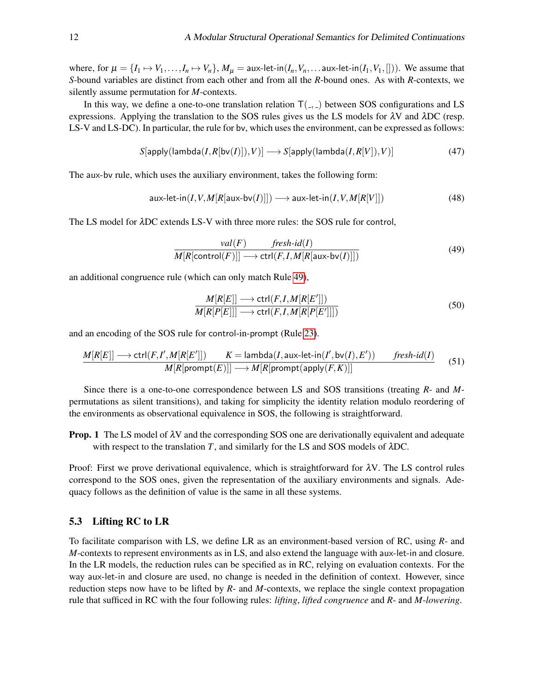where, for  $\mu = \{I_1 \mapsto V_1, \ldots, I_n \mapsto V_n\}$ ,  $M_{\mu} = \text{aux-let-in}(I_n, V_n, \ldots \text{aux-let-in}(I_1, V_1, []))$ . We assume that *S*-bound variables are distinct from each other and from all the *R*-bound ones. As with *R*-contexts, we silently assume permutation for *M*-contexts.

In this way, we define a one-to-one translation relation  $T($ <sub>--</sub> $)$  between SOS configurations and LS expressions. Applying the translation to the SOS rules gives us the LS models for  $\lambda V$  and  $\lambda DC$  (resp. LS-V and LS-DC). In particular, the rule for bv, which uses the environment, can be expressed as follows:

$$
S[apply(lambda(I, R[bv(I)]), V)] \longrightarrow S[apply(lambda(I, R[V]), V)] \tag{47}
$$

The aux-bv rule, which uses the auxiliary environment, takes the following form:

$$
aux\text{-let-in}(I, V, M[R[\text{aux-bv}(I)]]) \longrightarrow aux\text{-let-in}(I, V, M[R[V]]) \tag{48}
$$

The LS model for λDC extends LS-V with three more rules: the SOS rule for control,

$$
\frac{val(F)}{M[R[\text{control}(F)]] \longrightarrow \text{ctrl}(F, I, M[R[\text{aux-bv}(I)]])}
$$
(49)

an additional congruence rule (which can only match Rule [49\)](#page-11-0),

<span id="page-11-2"></span><span id="page-11-1"></span><span id="page-11-0"></span>
$$
\frac{M[R[E]] \longrightarrow \text{ctrl}(F, I, M[R[E']])}{M[R[P[E]]] \longrightarrow \text{ctrl}(F, I, M[R[P[E']]])}
$$
\n(50)

and an encoding of the SOS rule for control-in-prompt (Rule [23\)](#page-6-2).

$$
\frac{M[R[E]] \longrightarrow \text{ctrl}(F, I', M[R[E']])}{M[R[\text{prompt}(E)]] \longrightarrow M[R[\text{prompt}(\text{apply}(F, K)]]} \quad \text{fresh-id}(I)} \tag{51}
$$

Since there is a one-to-one correspondence between LS and SOS transitions (treating *R*- and *M*permutations as silent transitions), and taking for simplicity the identity relation modulo reordering of the environments as observational equivalence in SOS, the following is straightforward.

<span id="page-11-3"></span>**Prop. 1** The LS model of  $\lambda$ V and the corresponding SOS one are derivationally equivalent and adequate with respect to the translation  $T$ , and similarly for the LS and SOS models of  $\lambda$ DC.

Proof: First we prove derivational equivalence, which is straightforward for  $\lambda V$ . The LS control rules correspond to the SOS ones, given the representation of the auxiliary environments and signals. Adequacy follows as the definition of value is the same in all these systems.

#### 5.3 Lifting RC to LR

To facilitate comparison with LS, we define LR as an environment-based version of RC, using *R*- and *M*-contexts to represent environments as in LS, and also extend the language with aux-let-in and closure. In the LR models, the reduction rules can be specified as in RC, relying on evaluation contexts. For the way aux-let-in and closure are used, no change is needed in the definition of context. However, since reduction steps now have to be lifted by *R*- and *M*-contexts, we replace the single context propagation rule that sufficed in RC with the four following rules: *lifting*, *lifted congruence* and *R*- and *M*-*lowering*.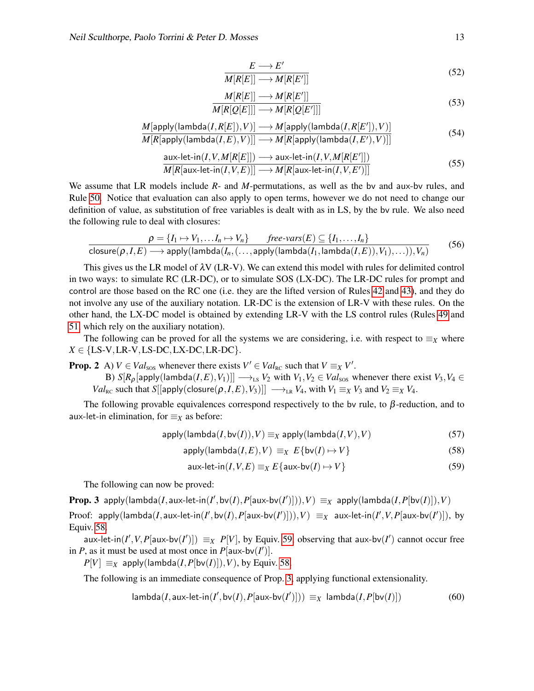$$
\frac{E \longrightarrow E'}{M[R[E]] \longrightarrow M[R[E']]}
$$
\n(52)

<span id="page-12-3"></span>
$$
\frac{M[R[E]] \longrightarrow M[R[E']]}{M[R[Q[E]]] \longrightarrow M[R[Q[E']]]} \tag{53}
$$

$$
\frac{M[\text{apply}(\text{lambda}(I, R[E]), V)] \longrightarrow M[\text{apply}(\text{lambda}(I, R[E'], V)]}{M[R[\text{apply}(\text{lambda}(I, E), V)]] \longrightarrow M[R[\text{apply}(\text{lambda}(I, E'), V)]]}
$$
\n(54)

$$
\frac{\text{aux-let-in}(I, V, M[R[E]]) \longrightarrow \text{aux-let-in}(I, V, M[R[E']])}{M[R[\text{aux-let-in}(I, V, E)]] \longrightarrow M[R[\text{aux-let-in}(I, V, E')]]}
$$
(55)

We assume that LR models include *R*- and *M*-permutations, as well as the by and aux-by rules, and Rule [50.](#page-11-1) Notice that evaluation can also apply to open terms, however we do not need to change our definition of value, as substitution of free variables is dealt with as in LS, by the bv rule. We also need the following rule to deal with closures:

$$
\frac{\rho = \{I_1 \mapsto V_1, \dots I_n \mapsto V_n\} \quad free\text{-}vars(E) \subseteq \{I_1, \dots, I_n\}}{\text{closure}(\rho, I, E) \longrightarrow \text{apply}(\text{lambda}(I_n, \dots, \text{apply}(\text{lambda}(I_1, \text{lambda}(I, E)), V_1), \dots)), V_n)}
$$
(56)

This gives us the LR model of  $\lambda V$  (LR-V). We can extend this model with rules for delimited control in two ways: to simulate RC (LR-DC), or to simulate SOS (LX-DC). The LR-DC rules for prompt and control are those based on the RC one (i.e. they are the lifted version of Rules [42](#page-9-0) and [43\)](#page-9-1), and they do not involve any use of the auxiliary notation. LR-DC is the extension of LR-V with these rules. On the other hand, the LX-DC model is obtained by extending LR-V with the LS control rules (Rules [49](#page-11-0) and [51,](#page-11-2) which rely on the auxiliary notation).

The following can be proved for all the systems we are considering, i.e. with respect to  $\equiv_X$  where  $X \in \{LS-V, LR-V, LS-DC, LX-DC, LR-DC\}.$ 

<span id="page-12-4"></span>**Prop.** 2 A)  $V \in Val_{SOS}$  whenever there exists  $V' \in Val_{RC}$  such that  $V \equiv_X V'$ .

B)  $S[R_\rho[\text{apply}(\text{lambda}(I,E),V_1)]] \longrightarrow_{LS} V_2$  with  $V_1,V_2 \in Val_{SOS}$  whenever there exist  $V_3,V_4 \in$ *Val*<sub>RC</sub> such that *S*[[apply(closure( $\rho$ ,*I*,*E*),*V*<sub>3</sub>)]]  $\longrightarrow$ <sub>LR</sub>*V*<sub>4</sub>, with *V*<sub>1</sub>  $\equiv$ *x V*<sub>3</sub> and *V*<sub>2</sub>  $\equiv$ *x V*<sub>4</sub>.

The following provable equivalences correspond respectively to the bv rule, to  $\beta$ -reduction, and to aux-let-in elimination, for  $\equiv_X$  as before:

$$
apply(lambda(I, bv(I)), V) \equiv_X apply(lambda(I, V), V)
$$
\n(57)

$$
apply(lambda(I, E), V) \equiv_X E\{bv(I) \mapsto V\}
$$
\n(58)

<span id="page-12-5"></span><span id="page-12-1"></span><span id="page-12-0"></span>
$$
aux\text{-let-in}(I, V, E) \equiv_X E\{\text{aux-bv}(I) \mapsto V\}
$$
\n(59)

The following can now be proved:

<span id="page-12-2"></span> $\textbf{Prop. 3 apply}(\textsf{lambda}(I, \textsf{aux-let-in}(I', \textsf{bv}(I), P[\textsf{aux-bv}(I')]))$ , $V) \equiv_X \textsf{apply}(\textsf{lambda}(I, P[\textsf{bv}(I)]), V)$  $Proof:$  apply $(\textsf{lambda}(I, \textsf{aux-let-in}(I', \textsf{bv}(I), P[\textsf{aux-bv}(I')]))$ , $V) \equiv_X$  aux-let-in $(I', V, P[\textsf{aux-bv}(I')])$ , by Equiv. [58.](#page-12-0)

aux-let-in(*I'*, *V*, *P*[aux-bv(*I'*)])  $\equiv_X P[V]$ , by Equiv. [59,](#page-12-1) observing that aux-bv(*I'*) cannot occur free in *P*, as it must be used at most once in  $P[$ aux-bv $(I')$ ].

 $P[V] \equiv_X \text{apply}(\text{lambda}(I, P[\text{bv}(I)]), V)$ , by Equiv. [58.](#page-12-0)

The following is an immediate consequence of Prop. [3,](#page-12-2) applying functional extensionality.

$$
\mathsf{lambda}(I, \mathsf{aux}\text{-}\mathsf{let}\text{-}\mathsf{in}(I', \mathsf{bv}(I), P[\mathsf{aux}\text{-}\mathsf{bv}(I')])) \equiv_X \mathsf{lambda}(I, P[\mathsf{bv}(I)]) \tag{60}
$$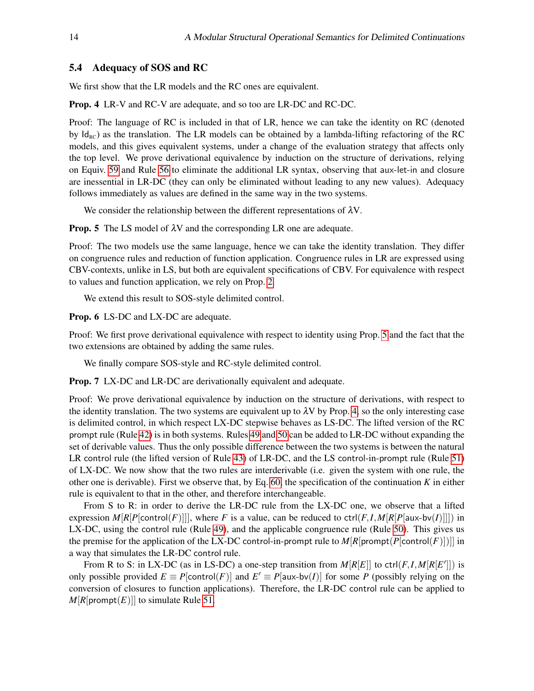#### 5.4 Adequacy of SOS and RC

<span id="page-13-2"></span>We first show that the LR models and the RC ones are equivalent.

Prop. 4 LR-V and RC-V are adequate, and so too are LR-DC and RC-DC.

Proof: The language of RC is included in that of LR, hence we can take the identity on RC (denoted by  $Id_{RC}$ ) as the translation. The LR models can be obtained by a lambda-lifting refactoring of the RC models, and this gives equivalent systems, under a change of the evaluation strategy that affects only the top level. We prove derivational equivalence by induction on the structure of derivations, relying on Equiv. [59](#page-12-1) and Rule [56](#page-12-3) to eliminate the additional LR syntax, observing that aux-let-in and closure are inessential in LR-DC (they can only be eliminated without leading to any new values). Adequacy follows immediately as values are defined in the same way in the two systems.

We consider the relationship between the different representations of  $\lambda V$ .

<span id="page-13-1"></span>**Prop. 5** The LS model of  $\lambda$ V and the corresponding LR one are adequate.

Proof: The two models use the same language, hence we can take the identity translation. They differ on congruence rules and reduction of function application. Congruence rules in LR are expressed using CBV-contexts, unlike in LS, but both are equivalent specifications of CBV. For equivalence with respect to values and function application, we rely on Prop. [2.](#page-12-4)

We extend this result to SOS-style delimited control.

<span id="page-13-3"></span>Prop. 6 LS-DC and LX-DC are adequate.

Proof: We first prove derivational equivalence with respect to identity using Prop. [5](#page-13-1) and the fact that the two extensions are obtained by adding the same rules.

We finally compare SOS-style and RC-style delimited control.

<span id="page-13-0"></span>**Prop. 7** LX-DC and LR-DC are derivationally equivalent and adequate.

Proof: We prove derivational equivalence by induction on the structure of derivations, with respect to the identity translation. The two systems are equivalent up to  $\lambda V$  by Prop. [4,](#page-13-2) so the only interesting case is delimited control, in which respect LX-DC stepwise behaves as LS-DC. The lifted version of the RC prompt rule (Rule [42\)](#page-9-0) is in both systems. Rules [49](#page-11-0) and [50](#page-11-1) can be added to LR-DC without expanding the set of derivable values. Thus the only possible difference between the two systems is between the natural LR control rule (the lifted version of Rule [43\)](#page-9-1) of LR-DC, and the LS control-in-prompt rule (Rule [51\)](#page-11-2) of LX-DC. We now show that the two rules are interderivable (i.e. given the system with one rule, the other one is derivable). First we observe that, by Eq. [60,](#page-12-5) the specification of the continuation *K* in either rule is equivalent to that in the other, and therefore interchangeable.

From S to R: in order to derive the LR-DC rule from the LX-DC one, we observe that a lifted expression  $M[R[P]\text{control}(F)]$ , where *F* is a value, can be reduced to ctrl $(F, I, M[R[P]\text{aux-bv}(I)]]$  in LX-DC, using the control rule (Rule [49\)](#page-11-0), and the applicable congruence rule (Rule [50\)](#page-11-1). This gives us the premise for the application of the LX-DC control-in-prompt rule to  $M[R[prompt(P[control(F))]]]$  in a way that simulates the LR-DC control rule.

From R to S: in LX-DC (as in LS-DC) a one-step transition from  $M[R[E]]$  to  $ctrl(F, I, M[R[E']]$  is only possible provided  $E \equiv P[\text{control}(F)]$  and  $E' \equiv P[\text{aux-bv}(I)]$  for some P (possibly relying on the conversion of closures to function applications). Therefore, the LR-DC control rule can be applied to  $M[R[prompt(E)]]$  to simulate Rule [51.](#page-11-2)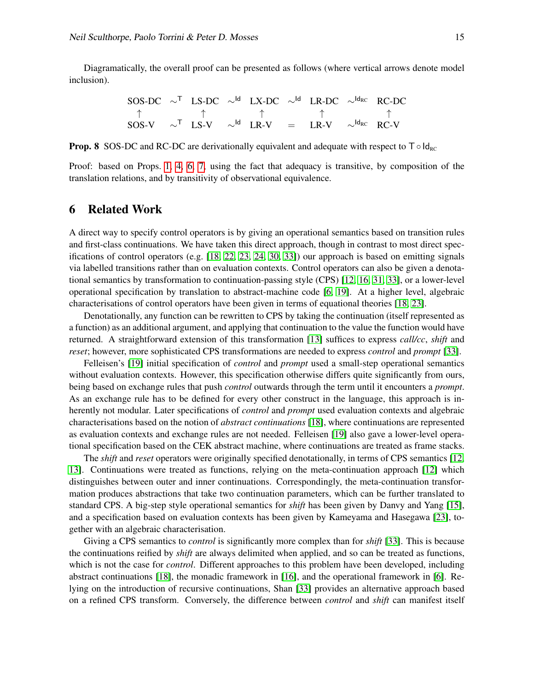Diagramatically, the overall proof can be presented as follows (where vertical arrows denote model inclusion).

SOS-DC 
$$
\sim^T
$$
 LS-DC  $\sim^{Id}$  LX-DC  $\sim^{Id}$  LR-DC  $\sim^{Id_{RC}}$  RC-DC  
\n $\uparrow \qquad \uparrow \qquad \uparrow \qquad \uparrow \qquad \uparrow \qquad \uparrow$   
\nSOS-V  $\sim^T$  LS-V  $\sim^{Id}$  LR-V = LR-V  $\sim^{Id_{RC}}$  RC-V

<span id="page-14-0"></span>**Prop. 8** SOS-DC and RC-DC are derivationally equivalent and adequate with respect to  $T \circ \mathsf{Id}_{\mathsf{RC}}$ 

Proof: based on Props. [1,](#page-11-3) [4,](#page-13-2) [6,](#page-13-3) [7,](#page-13-0) using the fact that adequacy is transitive, by composition of the translation relations, and by transitivity of observational equivalence.

### 6 Related Work

A direct way to specify control operators is by giving an operational semantics based on transition rules and first-class continuations. We have taken this direct approach, though in contrast to most direct specifications of control operators (e.g. [\[18,](#page-16-4) [22,](#page-17-7) [23,](#page-17-12) [24,](#page-17-8) [30,](#page-17-4) [33\]](#page-17-9)) our approach is based on emitting signals via labelled transitions rather than on evaluation contexts. Control operators can also be given a denotational semantics by transformation to continuation-passing style (CPS) [\[12,](#page-16-5) [16,](#page-16-11) [31,](#page-17-13) [33\]](#page-17-9), or a lower-level operational specification by translation to abstract-machine code [\[6,](#page-16-12) [19\]](#page-17-5). At a higher level, algebraic characterisations of control operators have been given in terms of equational theories [\[18,](#page-16-4) [23\]](#page-17-12).

Denotationally, any function can be rewritten to CPS by taking the continuation (itself represented as a function) as an additional argument, and applying that continuation to the value the function would have returned. A straightforward extension of this transformation [\[13\]](#page-16-6) suffices to express *call/cc*, *shift* and *reset*; however, more sophisticated CPS transformations are needed to express *control* and *prompt* [\[33\]](#page-17-9).

Felleisen's [\[19\]](#page-17-5) initial specification of *control* and *prompt* used a small-step operational semantics without evaluation contexts. However, this specification otherwise differs quite significantly from ours, being based on exchange rules that push *control* outwards through the term until it encounters a *prompt*. As an exchange rule has to be defined for every other construct in the language, this approach is inherently not modular. Later specifications of *control* and *prompt* used evaluation contexts and algebraic characterisations based on the notion of *abstract continuations* [\[18\]](#page-16-4), where continuations are represented as evaluation contexts and exchange rules are not needed. Felleisen [\[19\]](#page-17-5) also gave a lower-level operational specification based on the CEK abstract machine, where continuations are treated as frame stacks.

The *shift* and *reset* operators were originally specified denotationally, in terms of CPS semantics [\[12,](#page-16-5) [13\]](#page-16-6). Continuations were treated as functions, relying on the meta-continuation approach [\[12\]](#page-16-5) which distinguishes between outer and inner continuations. Correspondingly, the meta-continuation transformation produces abstractions that take two continuation parameters, which can be further translated to standard CPS. A big-step style operational semantics for *shift* has been given by Danvy and Yang [\[15\]](#page-16-13), and a specification based on evaluation contexts has been given by Kameyama and Hasegawa [\[23\]](#page-17-12), together with an algebraic characterisation.

Giving a CPS semantics to *control* is significantly more complex than for *shift* [\[33\]](#page-17-9). This is because the continuations reified by *shift* are always delimited when applied, and so can be treated as functions, which is not the case for *control*. Different approaches to this problem have been developed, including abstract continuations [\[18\]](#page-16-4), the monadic framework in [\[16\]](#page-16-11), and the operational framework in [\[6\]](#page-16-12). Relying on the introduction of recursive continuations, Shan [\[33\]](#page-17-9) provides an alternative approach based on a refined CPS transform. Conversely, the difference between *control* and *shift* can manifest itself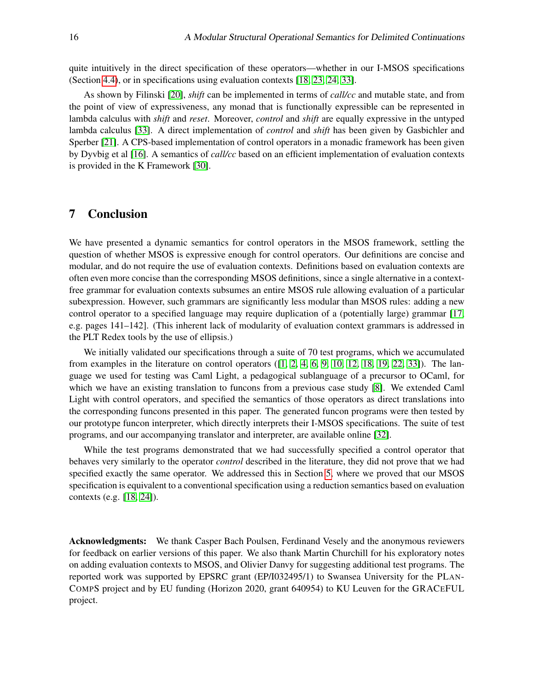quite intuitively in the direct specification of these operators—whether in our I-MSOS specifications (Section [4.4\)](#page-6-3), or in specifications using evaluation contexts [\[18,](#page-16-4) [23,](#page-17-12) [24,](#page-17-8) [33\]](#page-17-9).

As shown by Filinski [\[20\]](#page-17-14), *shift* can be implemented in terms of *call/cc* and mutable state, and from the point of view of expressiveness, any monad that is functionally expressible can be represented in lambda calculus with *shift* and *reset*. Moreover, *control* and *shift* are equally expressive in the untyped lambda calculus [\[33\]](#page-17-9). A direct implementation of *control* and *shift* has been given by Gasbichler and Sperber [\[21\]](#page-17-15). A CPS-based implementation of control operators in a monadic framework has been given by Dyvbig et al [\[16\]](#page-16-11). A semantics of *call/cc* based on an efficient implementation of evaluation contexts is provided in the K Framework [\[30\]](#page-17-4).

# 7 Conclusion

We have presented a dynamic semantics for control operators in the MSOS framework, settling the question of whether MSOS is expressive enough for control operators. Our definitions are concise and modular, and do not require the use of evaluation contexts. Definitions based on evaluation contexts are often even more concise than the corresponding MSOS definitions, since a single alternative in a contextfree grammar for evaluation contexts subsumes an entire MSOS rule allowing evaluation of a particular subexpression. However, such grammars are significantly less modular than MSOS rules: adding a new control operator to a specified language may require duplication of a (potentially large) grammar [\[17,](#page-16-14) e.g. pages 141–142]. (This inherent lack of modularity of evaluation context grammars is addressed in the PLT Redex tools by the use of ellipsis.)

We initially validated our specifications through a suite of 70 test programs, which we accumulated from examples in the literature on control operators  $(1, 2, 4, 6, 9, 10, 12, 18, 19, 22, 33]$  $(1, 2, 4, 6, 9, 10, 12, 18, 19, 22, 33]$  $(1, 2, 4, 6, 9, 10, 12, 18, 19, 22, 33]$  $(1, 2, 4, 6, 9, 10, 12, 18, 19, 22, 33]$  $(1, 2, 4, 6, 9, 10, 12, 18, 19, 22, 33]$  $(1, 2, 4, 6, 9, 10, 12, 18, 19, 22, 33]$  $(1, 2, 4, 6, 9, 10, 12, 18, 19, 22, 33]$  $(1, 2, 4, 6, 9, 10, 12, 18, 19, 22, 33]$  $(1, 2, 4, 6, 9, 10, 12, 18, 19, 22, 33]$  $(1, 2, 4, 6, 9, 10, 12, 18, 19, 22, 33]$  $(1, 2, 4, 6, 9, 10, 12, 18, 19, 22, 33]$ . The language we used for testing was Caml Light, a pedagogical sublanguage of a precursor to OCaml, for which we have an existing translation to funcons from a previous case study [\[8\]](#page-16-1). We extended Caml Light with control operators, and specified the semantics of those operators as direct translations into the corresponding funcons presented in this paper. The generated funcon programs were then tested by our prototype funcon interpreter, which directly interprets their I-MSOS specifications. The suite of test programs, and our accompanying translator and interpreter, are available online [\[32\]](#page-17-10).

While the test programs demonstrated that we had successfully specified a control operator that behaves very similarly to the operator *control* described in the literature, they did not prove that we had specified exactly the same operator. We addressed this in Section [5,](#page-8-0) where we proved that our MSOS specification is equivalent to a conventional specification using a reduction semantics based on evaluation contexts (e.g. [\[18,](#page-16-4) [24\]](#page-17-8)).

Acknowledgments: We thank Casper Bach Poulsen, Ferdinand Vesely and the anonymous reviewers for feedback on earlier versions of this paper. We also thank Martin Churchill for his exploratory notes on adding evaluation contexts to MSOS, and Olivier Danvy for suggesting additional test programs. The reported work was supported by EPSRC grant (EP/I032495/1) to Swansea University for the PLAN-COMPS project and by EU funding (Horizon 2020, grant 640954) to KU Leuven for the GRACEFUL project.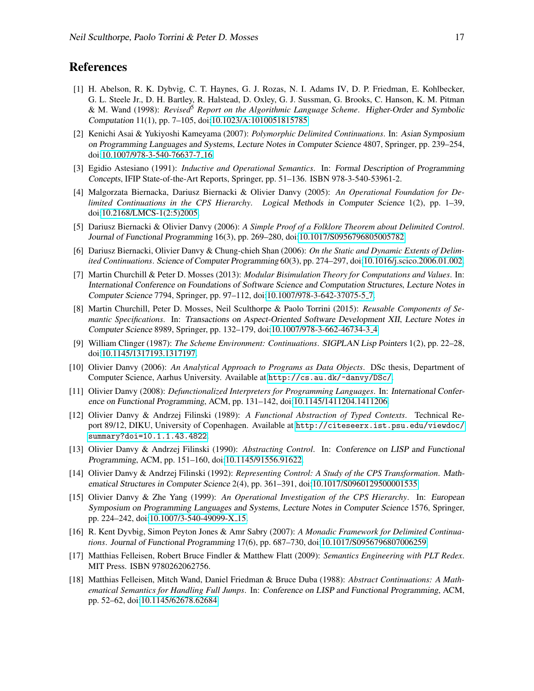# References

- <span id="page-16-2"></span>[1] H. Abelson, R. K. Dybvig, C. T. Haynes, G. J. Rozas, N. I. Adams IV, D. P. Friedman, E. Kohlbecker, G. L. Steele Jr., D. H. Bartley, R. Halstead, D. Oxley, G. J. Sussman, G. Brooks, C. Hanson, K. M. Pitman & M. Wand (1998): *Revised*<sup>5</sup> *Report on the Algorithmic Language Scheme*. Higher-Order and Symbolic Computation 11(1), pp. 7–105, doi[:10.1023/A:1010051815785.](http://dx.doi.org/10.1023/A:1010051815785)
- <span id="page-16-15"></span>[2] Kenichi Asai & Yukiyoshi Kameyama (2007): *Polymorphic Delimited Continuations*. In: Asian Symposium on Programming Languages and Systems, Lecture Notes in Computer Science 4807, Springer, pp. 239–254, doi[:10.1007/978-3-540-76637-7](http://dx.doi.org/10.1007/978-3-540-76637-7_16) 16.
- <span id="page-16-8"></span>[3] Egidio Astesiano (1991): *Inductive and Operational Semantics*. In: Formal Description of Programming Concepts, IFIP State-of-the-Art Reports, Springer, pp. 51–136. ISBN 978-3-540-53961-2.
- <span id="page-16-16"></span>[4] Malgorzata Biernacka, Dariusz Biernacki & Olivier Danvy (2005): *An Operational Foundation for Delimited Continuations in the CPS Hierarchy*. Logical Methods in Computer Science 1(2), pp. 1–39, doi[:10.2168/LMCS-1\(2:5\)2005.](http://dx.doi.org/10.2168/LMCS-1(2:5)2005)
- <span id="page-16-9"></span>[5] Dariusz Biernacki & Olivier Danvy (2006): *A Simple Proof of a Folklore Theorem about Delimited Control*. Journal of Functional Programming 16(3), pp. 269–280, doi[:10.1017/S0956796805005782.](http://dx.doi.org/10.1017/S0956796805005782)
- <span id="page-16-12"></span>[6] Dariusz Biernacki, Olivier Danvy & Chung-chieh Shan (2006): *On the Static and Dynamic Extents of Delimited Continuations*. Science of Computer Programming 60(3), pp. 274–297, doi[:10.1016/j.scico.2006.01.002.](http://dx.doi.org/10.1016/j.scico.2006.01.002)
- <span id="page-16-0"></span>[7] Martin Churchill & Peter D. Mosses (2013): *Modular Bisimulation Theory for Computations and Values*. In: International Conference on Foundations of Software Science and Computation Structures, Lecture Notes in Computer Science 7794, Springer, pp. 97–112, doi[:10.1007/978-3-642-37075-5](http://dx.doi.org/10.1007/978-3-642-37075-5_7) 7.
- <span id="page-16-1"></span>[8] Martin Churchill, Peter D. Mosses, Neil Sculthorpe & Paolo Torrini (2015): *Reusable Components of Semantic Specifications*. In: Transactions on Aspect-Oriented Software Development XII, Lecture Notes in Computer Science 8989, Springer, pp. 132–179, doi[:10.1007/978-3-662-46734-3](http://dx.doi.org/10.1007/978-3-662-46734-3_4) 4.
- <span id="page-16-3"></span>[9] William Clinger (1987): *The Scheme Environment: Continuations*. SIGPLAN Lisp Pointers 1(2), pp. 22–28, doi[:10.1145/1317193.1317197.](http://dx.doi.org/10.1145/1317193.1317197)
- <span id="page-16-17"></span>[10] Olivier Danvy (2006): *An Analytical Approach to Programs as Data Objects*. DSc thesis, Department of Computer Science, Aarhus University. Available at <http://cs.au.dk/~danvy/DSc/>.
- <span id="page-16-10"></span>[11] Olivier Danvy (2008): *Defunctionalized Interpreters for Programming Languages*. In: International Conference on Functional Programming, ACM, pp. 131–142, doi[:10.1145/1411204.1411206.](http://dx.doi.org/10.1145/1411204.1411206)
- <span id="page-16-5"></span>[12] Olivier Danvy & Andrzej Filinski (1989): *A Functional Abstraction of Typed Contexts*. Technical Report 89/12, DIKU, University of Copenhagen. Available at [http://citeseerx.ist.psu.edu/viewdoc/](http://citeseerx.ist.psu.edu/viewdoc/summary?doi=10.1.1.43.4822) [summary?doi=10.1.1.43.4822](http://citeseerx.ist.psu.edu/viewdoc/summary?doi=10.1.1.43.4822).
- <span id="page-16-6"></span>[13] Olivier Danvy & Andrzej Filinski (1990): *Abstracting Control*. In: Conference on LISP and Functional Programming, ACM, pp. 151–160, doi[:10.1145/91556.91622.](http://dx.doi.org/10.1145/91556.91622)
- <span id="page-16-7"></span>[14] Olivier Danvy & Andrzej Filinski (1992): *Representing Control: A Study of the CPS Transformation*. Mathematical Structures in Computer Science 2(4), pp. 361–391, doi[:10.1017/S0960129500001535.](http://dx.doi.org/10.1017/S0960129500001535)
- <span id="page-16-13"></span>[15] Olivier Danvy & Zhe Yang (1999): *An Operational Investigation of the CPS Hierarchy*. In: European Symposium on Programming Languages and Systems, Lecture Notes in Computer Science 1576, Springer, pp. 224–242, doi[:10.1007/3-540-49099-X](http://dx.doi.org/10.1007/3-540-49099-X_15) 15.
- <span id="page-16-11"></span>[16] R. Kent Dyvbig, Simon Peyton Jones & Amr Sabry (2007): *A Monadic Framework for Delimited Continuations*. Journal of Functional Programming 17(6), pp. 687–730, doi[:10.1017/S0956796807006259.](http://dx.doi.org/10.1017/S0956796807006259)
- <span id="page-16-14"></span>[17] Matthias Felleisen, Robert Bruce Findler & Matthew Flatt (2009): *Semantics Engineering with PLT Redex*. MIT Press. ISBN 9780262062756.
- <span id="page-16-4"></span>[18] Matthias Felleisen, Mitch Wand, Daniel Friedman & Bruce Duba (1988): *Abstract Continuations: A Mathematical Semantics for Handling Full Jumps*. In: Conference on LISP and Functional Programming, ACM, pp. 52–62, doi[:10.1145/62678.62684.](http://dx.doi.org/10.1145/62678.62684)